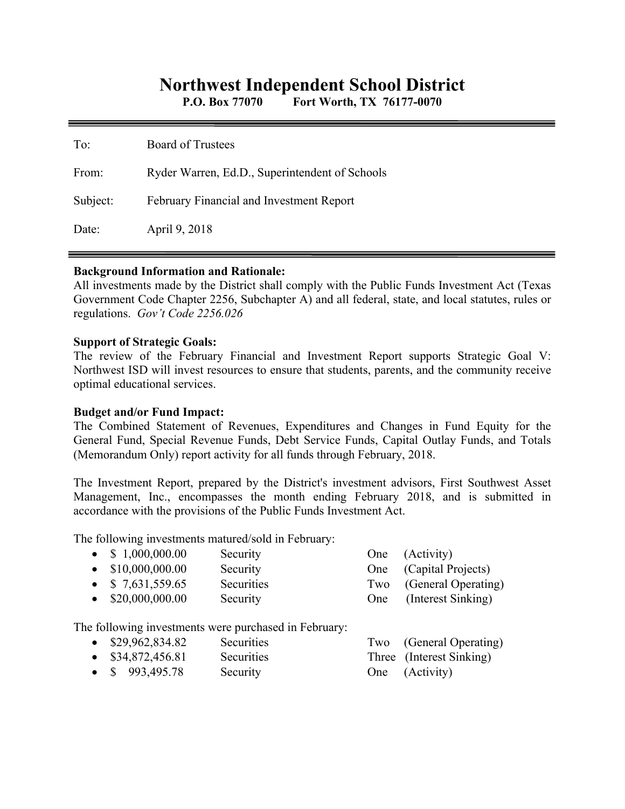# **Northwest Independent School District**

**P.O. Box 77070 Fort Worth, TX 76177-0070** 

| To:      | Board of Trustees                               |
|----------|-------------------------------------------------|
| From:    | Ryder Warren, Ed.D., Superintendent of Schools  |
| Subject: | <b>February Financial and Investment Report</b> |
| Date:    | April 9, 2018                                   |

### **Background Information and Rationale:**

All investments made by the District shall comply with the Public Funds Investment Act (Texas Government Code Chapter 2256, Subchapter A) and all federal, state, and local statutes, rules or regulations. *Gov't Code 2256.026* 

### **Support of Strategic Goals:**

The review of the February Financial and Investment Report supports Strategic Goal V: Northwest ISD will invest resources to ensure that students, parents, and the community receive optimal educational services.

## **Budget and/or Fund Impact:**

The Combined Statement of Revenues, Expenditures and Changes in Fund Equity for the General Fund, Special Revenue Funds, Debt Service Funds, Capital Outlay Funds, and Totals (Memorandum Only) report activity for all funds through February, 2018.

The Investment Report, prepared by the District's investment advisors, First Southwest Asset Management, Inc., encompasses the month ending February 2018, and is submitted in accordance with the provisions of the Public Funds Investment Act.

The following investments matured/sold in February:

| $\bullet$ \$ 1,000,000.00 | Security   | One (Activity)          |
|---------------------------|------------|-------------------------|
| $\bullet$ \$10,000,000.00 | Security   | One (Capital Projects)  |
| $\bullet$ \$ 7,631,559.65 | Securities | Two (General Operating) |
| $\bullet$ \$20,000,000.00 | Security   | One (Interest Sinking)  |
|                           |            |                         |

The following investments were purchased in February:

- \$29,962,834.82 Securities Two (General Operating)
- \$34,872,456.81 Securities Three (Interest Sinking)
- \$ 993,495.78 Security One (Activity)
-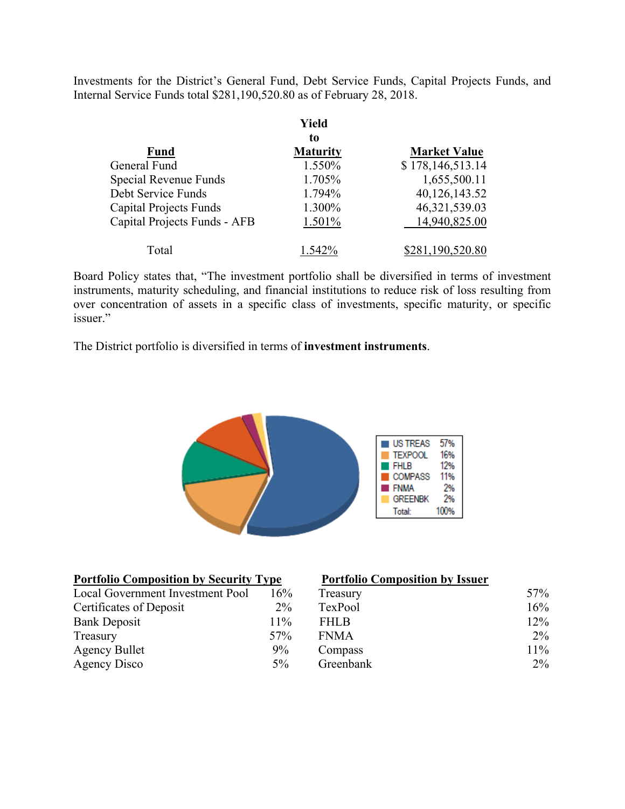Investments for the District's General Fund, Debt Service Funds, Capital Projects Funds, and Internal Service Funds total \$281,190,520.80 as of February 28, 2018.

|                               | Yield           |                     |
|-------------------------------|-----------------|---------------------|
|                               | to              |                     |
| <b>Fund</b>                   | <b>Maturity</b> | <b>Market Value</b> |
| General Fund                  | 1.550%          | \$178,146,513.14    |
| Special Revenue Funds         | 1.705%          | 1,655,500.11        |
| Debt Service Funds            | 1.794%          | 40,126,143.52       |
| <b>Capital Projects Funds</b> | 1.300%          | 46, 321, 539. 03    |
| Capital Projects Funds - AFB  | 1.501%          | 14,940,825.00       |
| Total                         | 1.542%          | \$281,190,520.80    |

Board Policy states that, "The investment portfolio shall be diversified in terms of investment instruments, maturity scheduling, and financial institutions to reduce risk of loss resulting from over concentration of assets in a specific class of investments, specific maturity, or specific issuer."

The District portfolio is diversified in terms of **investment instruments**.



| <b>Portfolio Composition by Security Type</b> |       | <b>Portfolio Composition by Issuer</b> |       |
|-----------------------------------------------|-------|----------------------------------------|-------|
| Local Government Investment Pool              | 16%   | Treasury                               | 57%   |
| Certificates of Deposit                       | $2\%$ | TexPool                                | 16%   |
| <b>Bank Deposit</b>                           | 11%   | <b>FHLB</b>                            | 12%   |
| Treasury                                      | 57%   | <b>FNMA</b>                            | $2\%$ |
| <b>Agency Bullet</b>                          | 9%    | Compass                                | 11%   |
| Agency Disco                                  | $5\%$ | Greenbank                              | $2\%$ |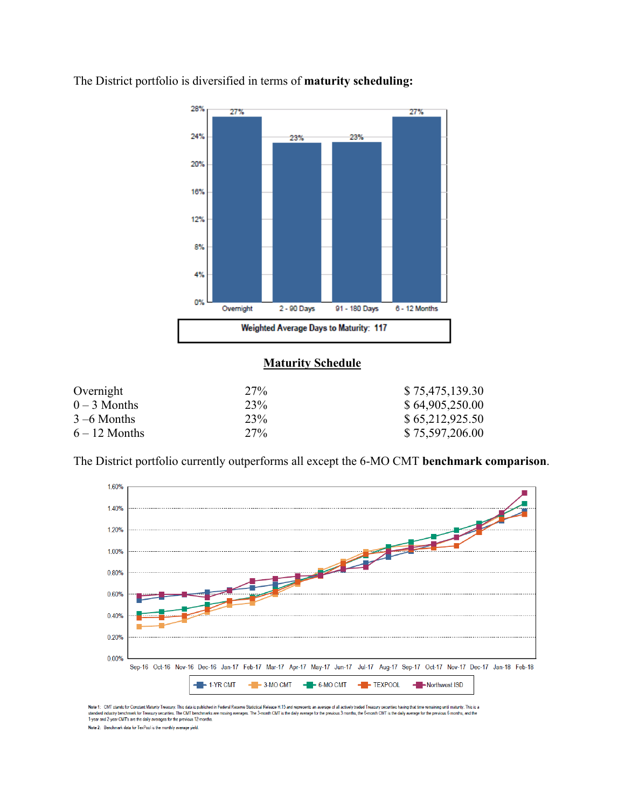

The District portfolio is diversified in terms of **maturity scheduling:** 

# **Maturity Schedule**

| Overnight       | 27% | \$75,475,139.30 |
|-----------------|-----|-----------------|
| $0-3$ Months    | 23% | \$64,905,250.00 |
| $3 - 6$ Months  | 23% | \$65,212,925.50 |
| $6 - 12$ Months | 27% | \$75,597,206.00 |

The District portfolio currently outperforms all except the 6-MO CMT **benchmark comparison**.



Note 1: CMT stands for Constant Maturity Treasury. This data is published in Federal Reserve Statistical Release H.15 and represents an average of all actively traded Treasury securities having that time remaining until ma Note 2: Benchmark data for TexPool is the monthly average yield.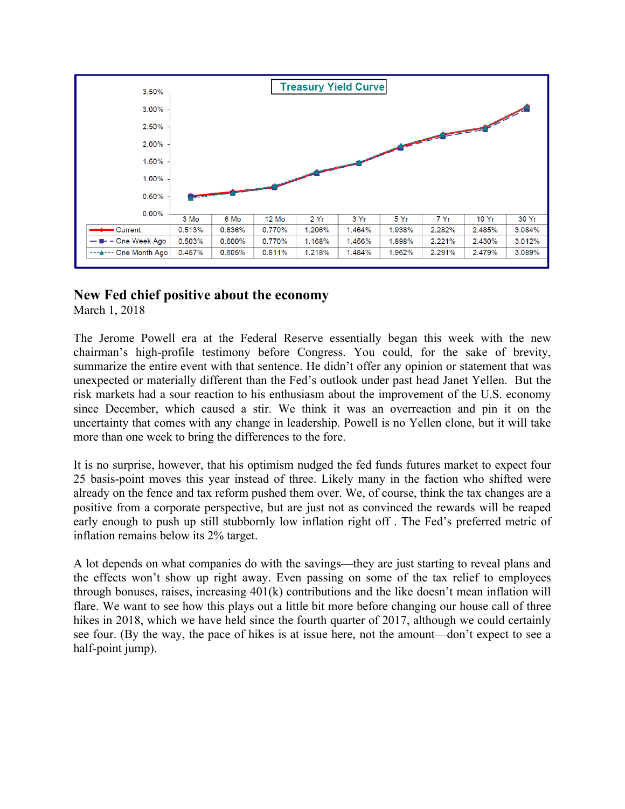

# **New Fed chief positive about the economy**

March 1, 2018

The Jerome Powell era at the Federal Reserve essentially began this week with the new chairman's high-profile testimony before Congress. You could, for the sake of brevity, summarize the entire event with that sentence. He didn't offer any opinion or statement that was unexpected or materially different than the Fed's outlook under past head Janet Yellen. But the risk markets had a sour reaction to his enthusiasm about the improvement of the U.S. economy since December, which caused a stir. We think it was an overreaction and pin it on the uncertainty that comes with any change in leadership. Powell is no Yellen clone, but it will take more than one week to bring the differences to the fore.

It is no surprise, however, that his optimism nudged the fed funds futures market to expect four 25 basis-point moves this year instead of three. Likely many in the faction who shifted were already on the fence and tax reform pushed them over. We, of course, think the tax changes are a positive from a corporate perspective, but are just not as convinced the rewards will be reaped early enough to push up still stubbornly low inflation right off . The Fed's preferred metric of inflation remains below its 2% target.

A lot depends on what companies do with the savings—they are just starting to reveal plans and the effects won't show up right away. Even passing on some of the tax relief to employees through bonuses, raises, increasing 401(k) contributions and the like doesn't mean inflation will flare. We want to see how this plays out a little bit more before changing our house call of three hikes in 2018, which we have held since the fourth quarter of 2017, although we could certainly see four. (By the way, the pace of hikes is at issue here, not the amount—don't expect to see a half-point jump).